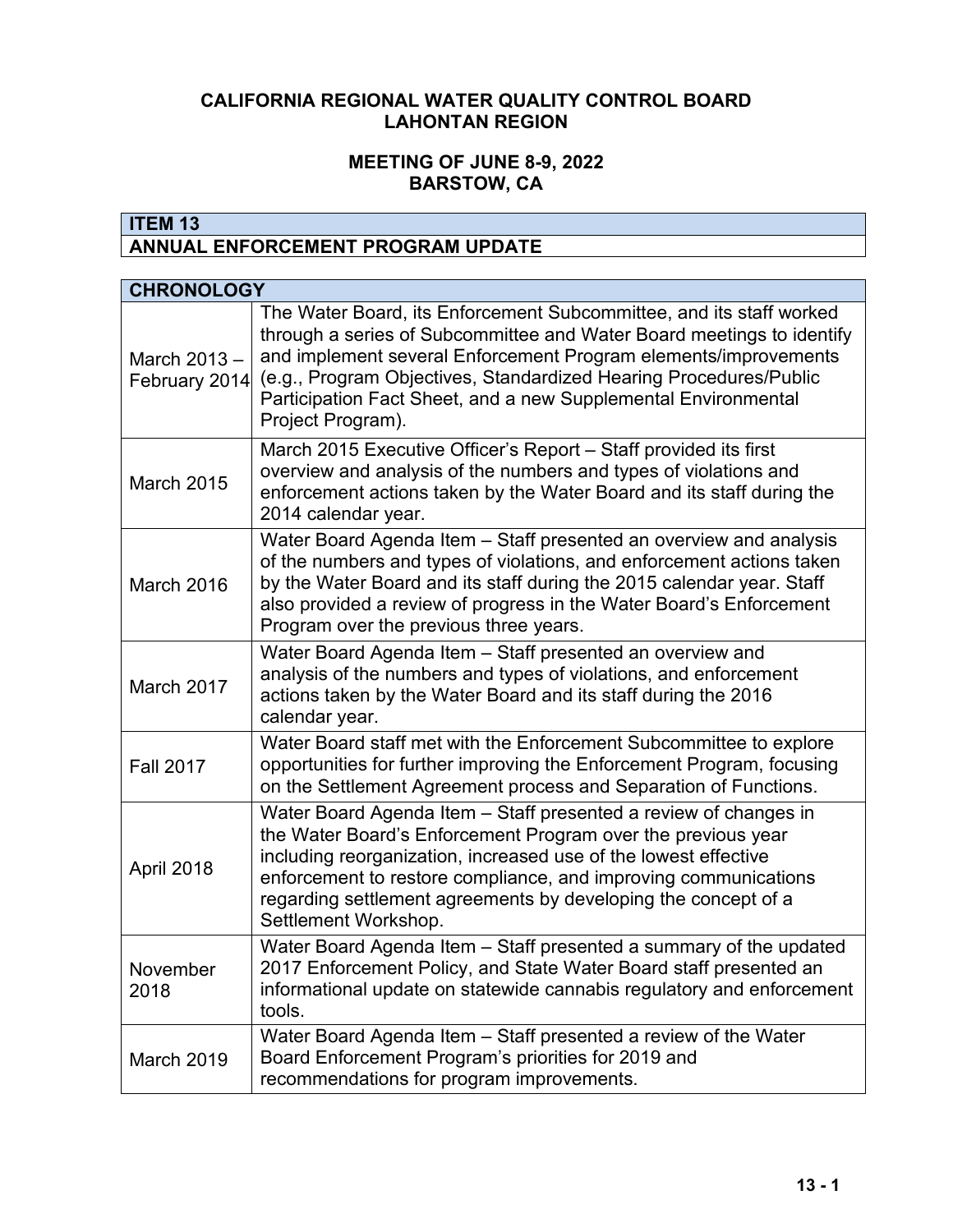# **CALIFORNIA REGIONAL WATER QUALITY CONTROL BOARD LAHONTAN REGION**

### **MEETING OF JUNE 8-9, 2022 BARSTOW, CA**

# **ITEM 13 ANNUAL ENFORCEMENT PROGRAM UPDATE**

| <b>CHRONOLOGY</b>             |                                                                                                                                                                                                                                                                                                                                                                             |
|-------------------------------|-----------------------------------------------------------------------------------------------------------------------------------------------------------------------------------------------------------------------------------------------------------------------------------------------------------------------------------------------------------------------------|
| March 2013 -<br>February 2014 | The Water Board, its Enforcement Subcommittee, and its staff worked<br>through a series of Subcommittee and Water Board meetings to identify<br>and implement several Enforcement Program elements/improvements<br>(e.g., Program Objectives, Standardized Hearing Procedures/Public<br>Participation Fact Sheet, and a new Supplemental Environmental<br>Project Program). |
| <b>March 2015</b>             | March 2015 Executive Officer's Report - Staff provided its first<br>overview and analysis of the numbers and types of violations and<br>enforcement actions taken by the Water Board and its staff during the<br>2014 calendar year.                                                                                                                                        |
| March 2016                    | Water Board Agenda Item - Staff presented an overview and analysis<br>of the numbers and types of violations, and enforcement actions taken<br>by the Water Board and its staff during the 2015 calendar year. Staff<br>also provided a review of progress in the Water Board's Enforcement<br>Program over the previous three years.                                       |
| March 2017                    | Water Board Agenda Item - Staff presented an overview and<br>analysis of the numbers and types of violations, and enforcement<br>actions taken by the Water Board and its staff during the 2016<br>calendar year.                                                                                                                                                           |
| <b>Fall 2017</b>              | Water Board staff met with the Enforcement Subcommittee to explore<br>opportunities for further improving the Enforcement Program, focusing<br>on the Settlement Agreement process and Separation of Functions.                                                                                                                                                             |
| April 2018                    | Water Board Agenda Item - Staff presented a review of changes in<br>the Water Board's Enforcement Program over the previous year<br>including reorganization, increased use of the lowest effective<br>enforcement to restore compliance, and improving communications<br>regarding settlement agreements by developing the concept of a<br>Settlement Workshop.            |
| November<br>2018              | Water Board Agenda Item - Staff presented a summary of the updated<br>2017 Enforcement Policy, and State Water Board staff presented an<br>informational update on statewide cannabis regulatory and enforcement<br>tools.                                                                                                                                                  |
| March 2019                    | Water Board Agenda Item - Staff presented a review of the Water<br>Board Enforcement Program's priorities for 2019 and<br>recommendations for program improvements.                                                                                                                                                                                                         |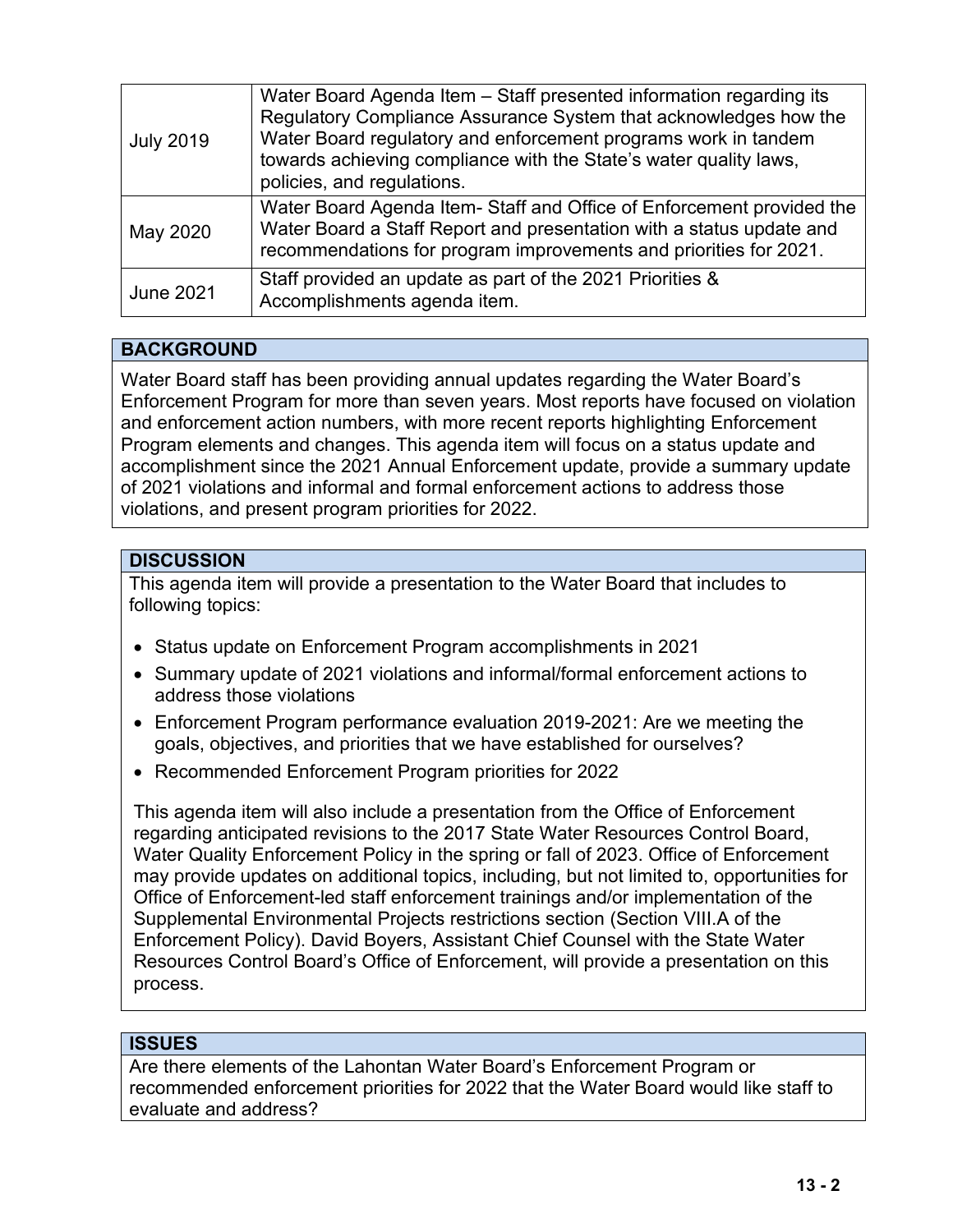| <b>July 2019</b> | Water Board Agenda Item - Staff presented information regarding its<br>Regulatory Compliance Assurance System that acknowledges how the<br>Water Board regulatory and enforcement programs work in tandem<br>towards achieving compliance with the State's water quality laws,<br>policies, and regulations. |
|------------------|--------------------------------------------------------------------------------------------------------------------------------------------------------------------------------------------------------------------------------------------------------------------------------------------------------------|
| May 2020         | Water Board Agenda Item-Staff and Office of Enforcement provided the<br>Water Board a Staff Report and presentation with a status update and<br>recommendations for program improvements and priorities for 2021.                                                                                            |
| <b>June 2021</b> | Staff provided an update as part of the 2021 Priorities &<br>Accomplishments agenda item.                                                                                                                                                                                                                    |

# **BACKGROUND**

Water Board staff has been providing annual updates regarding the Water Board's Enforcement Program for more than seven years. Most reports have focused on violation and enforcement action numbers, with more recent reports highlighting Enforcement Program elements and changes. This agenda item will focus on a status update and accomplishment since the 2021 Annual Enforcement update, provide a summary update of 2021 violations and informal and formal enforcement actions to address those violations, and present program priorities for 2022.

# **DISCUSSION**

This agenda item will provide a presentation to the Water Board that includes to following topics:

- Status update on Enforcement Program accomplishments in 2021
- Summary update of 2021 violations and informal/formal enforcement actions to address those violations
- Enforcement Program performance evaluation 2019-2021: Are we meeting the goals, objectives, and priorities that we have established for ourselves?
- Recommended Enforcement Program priorities for 2022

This agenda item will also include a presentation from the Office of Enforcement regarding anticipated revisions to the 2017 State Water Resources Control Board, Water Quality Enforcement Policy in the spring or fall of 2023. Office of Enforcement may provide updates on additional topics, including, but not limited to, opportunities for Office of Enforcement-led staff enforcement trainings and/or implementation of the Supplemental Environmental Projects restrictions section (Section VIII.A of the Enforcement Policy). David Boyers, Assistant Chief Counsel with the State Water Resources Control Board's Office of Enforcement, will provide a presentation on this process.

#### **ISSUES**

Are there elements of the Lahontan Water Board's Enforcement Program or recommended enforcement priorities for 2022 that the Water Board would like staff to evaluate and address?